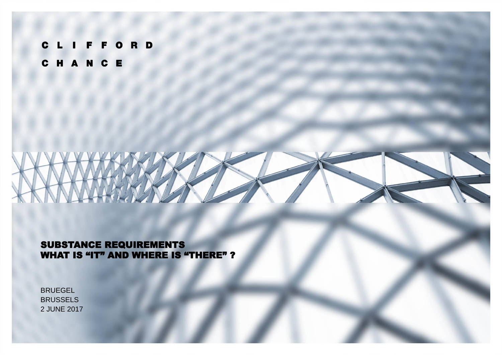CLIFFORD CHANCE

#### SUBSTANCE REQUIREMENTS WHAT IS "IT" AND WHERE IS "THERE" ?

**BRUEGEL BRUSSELS** 2 JUNE 2017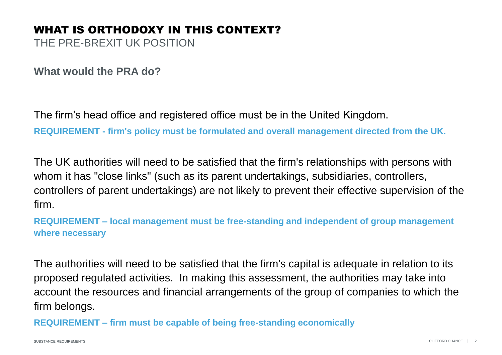# WHAT IS ORTHODOXY IN THIS CONTEXT?

THE PRE-BREXIT UK POSITION

**What would the PRA do?**

The firm's head office and registered office must be in the United Kingdom.

**REQUIREMENT - firm's policy must be formulated and overall management directed from the UK.**

The UK authorities will need to be satisfied that the firm's relationships with persons with whom it has "close links" (such as its parent undertakings, subsidiaries, controllers, controllers of parent undertakings) are not likely to prevent their effective supervision of the firm.

**REQUIREMENT – local management must be free-standing and independent of group management where necessary**

The authorities will need to be satisfied that the firm's capital is adequate in relation to its proposed regulated activities. In making this assessment, the authorities may take into account the resources and financial arrangements of the group of companies to which the firm belongs.

**REQUIREMENT – firm must be capable of being free-standing economically**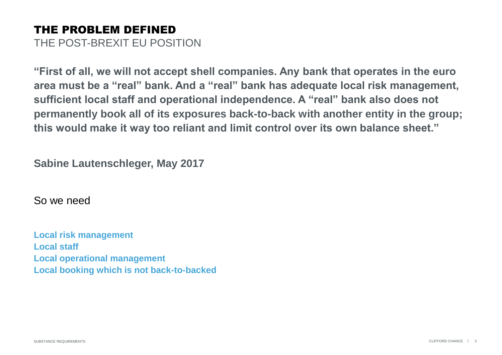#### THE PROBLEM DEFINED THE POST-BREXIT EU POSITION

**"First of all, we will not accept shell companies. Any bank that operates in the euro area must be a "real" bank. And a "real" bank has adequate local risk management, sufficient local staff and operational independence. A "real" bank also does not permanently book all of its exposures back-to-back with another entity in the group; this would make it way too reliant and limit control over its own balance sheet."**

**Sabine Lautenschleger, May 2017**

So we need

**Local risk management Local staff Local operational management Local booking which is not back-to-backed**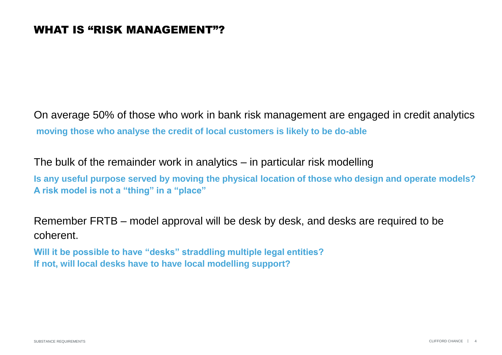On average 50% of those who work in bank risk management are engaged in credit analytics **moving those who analyse the credit of local customers is likely to be do-able**

The bulk of the remainder work in analytics – in particular risk modelling

**Is any useful purpose served by moving the physical location of those who design and operate models? A risk model is not a "thing" in a "place"**

Remember FRTB – model approval will be desk by desk, and desks are required to be coherent.

**Will it be possible to have "desks" straddling multiple legal entities? If not, will local desks have to have local modelling support?**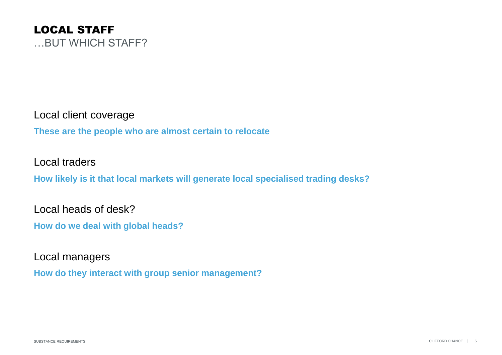

Local client coverage

**These are the people who are almost certain to relocate**

Local traders

**How likely is it that local markets will generate local specialised trading desks?**

Local heads of desk?

**How do we deal with global heads?**

Local managers

**How do they interact with group senior management?**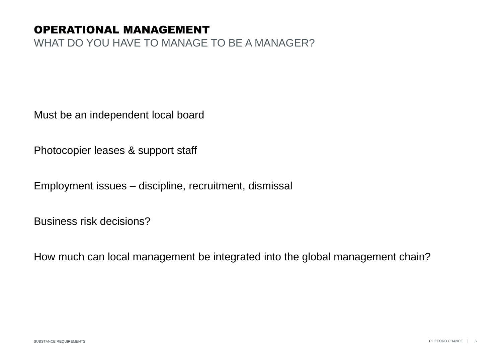## OPERATIONAL MANAGEMENT

WHAT DO YOU HAVE TO MANAGE TO BE A MANAGER?

Must be an independent local board

Photocopier leases & support staff

Employment issues – discipline, recruitment, dismissal

Business risk decisions?

How much can local management be integrated into the global management chain?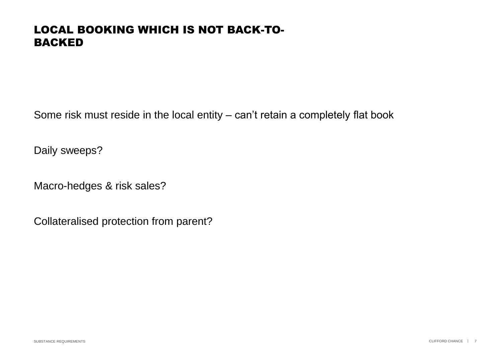## LOCAL BOOKING WHICH IS NOT BACK-TO-BACKED

Some risk must reside in the local entity – can't retain a completely flat book

Daily sweeps?

Macro-hedges & risk sales?

Collateralised protection from parent?